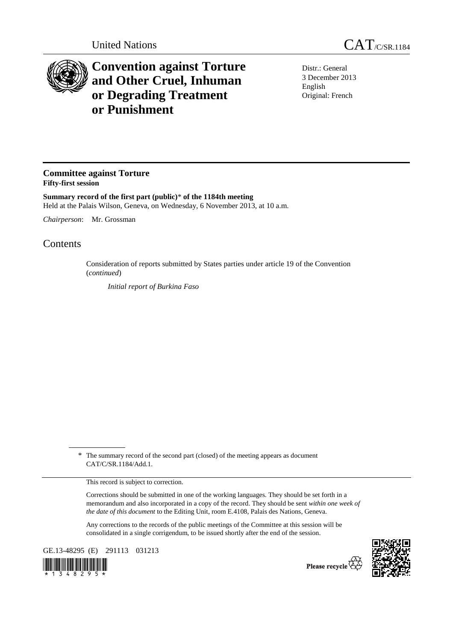

## **Convention against Torture and Other Cruel, Inhuman or Degrading Treatment or Punishment**

Distr.: General 3 December 2013 English Original: French

## **Committee against Torture Fifty-first session**

**Summary record of the first part (public)**\* **of the 1184th meeting**  Held at the Palais Wilson, Geneva, on Wednesday, 6 November 2013, at 10 a.m.

*Chairperson*: Mr. Grossman

## Contents

Consideration of reports submitted by States parties under article 19 of the Convention (*continued*)

*Initial report of Burkina Faso* 

\* The summary record of the second part (closed) of the meeting appears as document CAT/C/SR.1184/Add.1.

This record is subject to correction.

Corrections should be submitted in one of the working languages. They should be set forth in a memorandum and also incorporated in a copy of the record. They should be sent *within one week of the date of this document* to the Editing Unit, room E.4108, Palais des Nations, Geneva.

Any corrections to the records of the public meetings of the Committee at this session will be consolidated in a single corrigendum, to be issued shortly after the end of the session.

GE.13-48295 (E) 291113 031213





Please recycle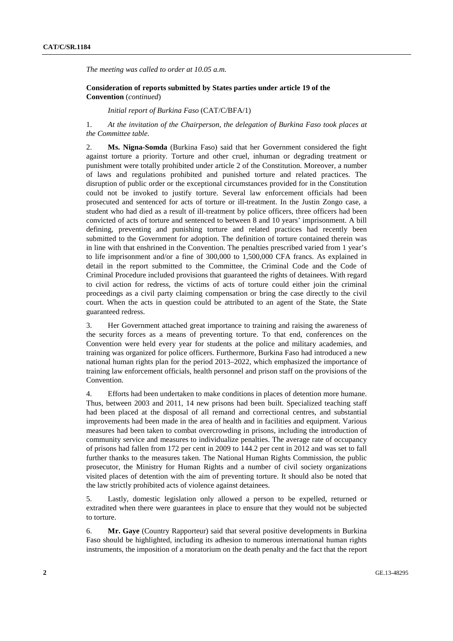*The meeting was called to order at 10.05 a.m.* 

 **Consideration of reports submitted by States parties under article 19 of the Convention** (*continued*)

*Initial report of Burkina Faso* (CAT/C/BFA/1)

1. *At the invitation of the Chairperson, the delegation of Burkina Faso took places at the Committee table.* 

2. **Ms. Nigna-Somda** (Burkina Faso) said that her Government considered the fight against torture a priority. Torture and other cruel, inhuman or degrading treatment or punishment were totally prohibited under article 2 of the Constitution. Moreover, a number of laws and regulations prohibited and punished torture and related practices. The disruption of public order or the exceptional circumstances provided for in the Constitution could not be invoked to justify torture. Several law enforcement officials had been prosecuted and sentenced for acts of torture or ill-treatment. In the Justin Zongo case, a student who had died as a result of ill-treatment by police officers, three officers had been convicted of acts of torture and sentenced to between 8 and 10 years' imprisonment. A bill defining, preventing and punishing torture and related practices had recently been submitted to the Government for adoption. The definition of torture contained therein was in line with that enshrined in the Convention. The penalties prescribed varied from 1 year's to life imprisonment and/or a fine of 300,000 to 1,500,000 CFA francs. As explained in detail in the report submitted to the Committee, the Criminal Code and the Code of Criminal Procedure included provisions that guaranteed the rights of detainees. With regard to civil action for redress, the victims of acts of torture could either join the criminal proceedings as a civil party claiming compensation or bring the case directly to the civil court. When the acts in question could be attributed to an agent of the State, the State guaranteed redress.

3. Her Government attached great importance to training and raising the awareness of the security forces as a means of preventing torture. To that end, conferences on the Convention were held every year for students at the police and military academies, and training was organized for police officers. Furthermore, Burkina Faso had introduced a new national human rights plan for the period 2013–2022, which emphasized the importance of training law enforcement officials, health personnel and prison staff on the provisions of the Convention.

4. Efforts had been undertaken to make conditions in places of detention more humane. Thus, between 2003 and 2011, 14 new prisons had been built. Specialized teaching staff had been placed at the disposal of all remand and correctional centres, and substantial improvements had been made in the area of health and in facilities and equipment. Various measures had been taken to combat overcrowding in prisons, including the introduction of community service and measures to individualize penalties. The average rate of occupancy of prisons had fallen from 172 per cent in 2009 to 144.2 per cent in 2012 and was set to fall further thanks to the measures taken. The National Human Rights Commission, the public prosecutor, the Ministry for Human Rights and a number of civil society organizations visited places of detention with the aim of preventing torture. It should also be noted that the law strictly prohibited acts of violence against detainees.

5. Lastly, domestic legislation only allowed a person to be expelled, returned or extradited when there were guarantees in place to ensure that they would not be subjected to torture.

6. **Mr. Gaye** (Country Rapporteur) said that several positive developments in Burkina Faso should be highlighted, including its adhesion to numerous international human rights instruments, the imposition of a moratorium on the death penalty and the fact that the report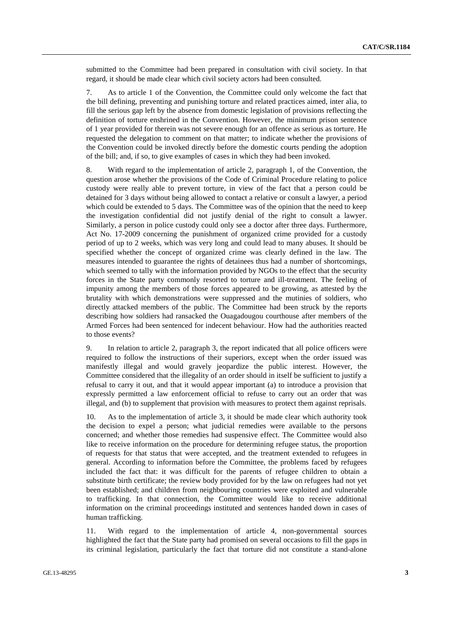submitted to the Committee had been prepared in consultation with civil society. In that regard, it should be made clear which civil society actors had been consulted.

7. As to article 1 of the Convention, the Committee could only welcome the fact that the bill defining, preventing and punishing torture and related practices aimed, inter alia, to fill the serious gap left by the absence from domestic legislation of provisions reflecting the definition of torture enshrined in the Convention. However, the minimum prison sentence of 1 year provided for therein was not severe enough for an offence as serious as torture. He requested the delegation to comment on that matter; to indicate whether the provisions of the Convention could be invoked directly before the domestic courts pending the adoption of the bill; and, if so, to give examples of cases in which they had been invoked.

8. With regard to the implementation of article 2, paragraph 1, of the Convention, the question arose whether the provisions of the Code of Criminal Procedure relating to police custody were really able to prevent torture, in view of the fact that a person could be detained for 3 days without being allowed to contact a relative or consult a lawyer, a period which could be extended to 5 days. The Committee was of the opinion that the need to keep the investigation confidential did not justify denial of the right to consult a lawyer. Similarly, a person in police custody could only see a doctor after three days. Furthermore, Act No. 17-2009 concerning the punishment of organized crime provided for a custody period of up to 2 weeks, which was very long and could lead to many abuses. It should be specified whether the concept of organized crime was clearly defined in the law. The measures intended to guarantee the rights of detainees thus had a number of shortcomings, which seemed to tally with the information provided by NGOs to the effect that the security forces in the State party commonly resorted to torture and ill-treatment. The feeling of impunity among the members of those forces appeared to be growing, as attested by the brutality with which demonstrations were suppressed and the mutinies of soldiers, who directly attacked members of the public. The Committee had been struck by the reports describing how soldiers had ransacked the Ouagadougou courthouse after members of the Armed Forces had been sentenced for indecent behaviour. How had the authorities reacted to those events?

9. In relation to article 2, paragraph 3, the report indicated that all police officers were required to follow the instructions of their superiors, except when the order issued was manifestly illegal and would gravely jeopardize the public interest. However, the Committee considered that the illegality of an order should in itself be sufficient to justify a refusal to carry it out, and that it would appear important (a) to introduce a provision that expressly permitted a law enforcement official to refuse to carry out an order that was illegal, and (b) to supplement that provision with measures to protect them against reprisals.

10. As to the implementation of article 3, it should be made clear which authority took the decision to expel a person; what judicial remedies were available to the persons concerned; and whether those remedies had suspensive effect. The Committee would also like to receive information on the procedure for determining refugee status, the proportion of requests for that status that were accepted, and the treatment extended to refugees in general. According to information before the Committee, the problems faced by refugees included the fact that: it was difficult for the parents of refugee children to obtain a substitute birth certificate; the review body provided for by the law on refugees had not yet been established; and children from neighbouring countries were exploited and vulnerable to trafficking. In that connection, the Committee would like to receive additional information on the criminal proceedings instituted and sentences handed down in cases of human trafficking.

11. With regard to the implementation of article 4, non-governmental sources highlighted the fact that the State party had promised on several occasions to fill the gaps in its criminal legislation, particularly the fact that torture did not constitute a stand-alone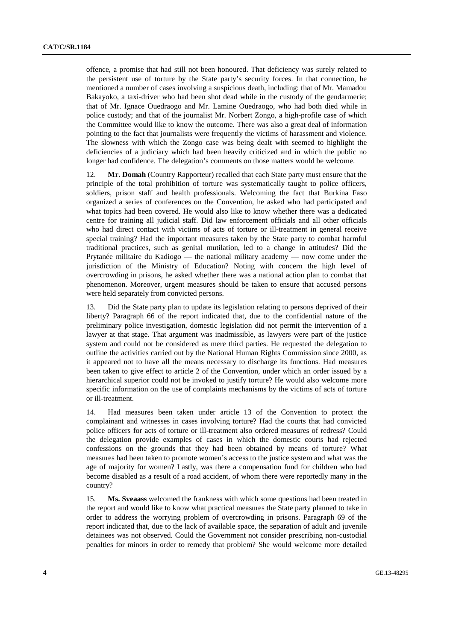offence, a promise that had still not been honoured. That deficiency was surely related to the persistent use of torture by the State party's security forces. In that connection, he mentioned a number of cases involving a suspicious death, including: that of Mr. Mamadou Bakayoko, a taxi-driver who had been shot dead while in the custody of the gendarmerie; that of Mr. Ignace Ouedraogo and Mr. Lamine Ouedraogo, who had both died while in police custody; and that of the journalist Mr. Norbert Zongo, a high-profile case of which the Committee would like to know the outcome. There was also a great deal of information pointing to the fact that journalists were frequently the victims of harassment and violence. The slowness with which the Zongo case was being dealt with seemed to highlight the deficiencies of a judiciary which had been heavily criticized and in which the public no longer had confidence. The delegation's comments on those matters would be welcome.

12. **Mr. Domah** (Country Rapporteur) recalled that each State party must ensure that the principle of the total prohibition of torture was systematically taught to police officers, soldiers, prison staff and health professionals. Welcoming the fact that Burkina Faso organized a series of conferences on the Convention, he asked who had participated and what topics had been covered. He would also like to know whether there was a dedicated centre for training all judicial staff. Did law enforcement officials and all other officials who had direct contact with victims of acts of torture or ill-treatment in general receive special training? Had the important measures taken by the State party to combat harmful traditional practices, such as genital mutilation, led to a change in attitudes? Did the Prytanée militaire du Kadiogo — the national military academy — now come under the jurisdiction of the Ministry of Education? Noting with concern the high level of overcrowding in prisons, he asked whether there was a national action plan to combat that phenomenon. Moreover, urgent measures should be taken to ensure that accused persons were held separately from convicted persons.

13. Did the State party plan to update its legislation relating to persons deprived of their liberty? Paragraph 66 of the report indicated that, due to the confidential nature of the preliminary police investigation, domestic legislation did not permit the intervention of a lawyer at that stage. That argument was inadmissible, as lawyers were part of the justice system and could not be considered as mere third parties. He requested the delegation to outline the activities carried out by the National Human Rights Commission since 2000, as it appeared not to have all the means necessary to discharge its functions. Had measures been taken to give effect to article 2 of the Convention, under which an order issued by a hierarchical superior could not be invoked to justify torture? He would also welcome more specific information on the use of complaints mechanisms by the victims of acts of torture or ill-treatment.

14. Had measures been taken under article 13 of the Convention to protect the complainant and witnesses in cases involving torture? Had the courts that had convicted police officers for acts of torture or ill-treatment also ordered measures of redress? Could the delegation provide examples of cases in which the domestic courts had rejected confessions on the grounds that they had been obtained by means of torture? What measures had been taken to promote women's access to the justice system and what was the age of majority for women? Lastly, was there a compensation fund for children who had become disabled as a result of a road accident, of whom there were reportedly many in the country?

15. **Ms. Sveaass** welcomed the frankness with which some questions had been treated in the report and would like to know what practical measures the State party planned to take in order to address the worrying problem of overcrowding in prisons. Paragraph 69 of the report indicated that, due to the lack of available space, the separation of adult and juvenile detainees was not observed. Could the Government not consider prescribing non-custodial penalties for minors in order to remedy that problem? She would welcome more detailed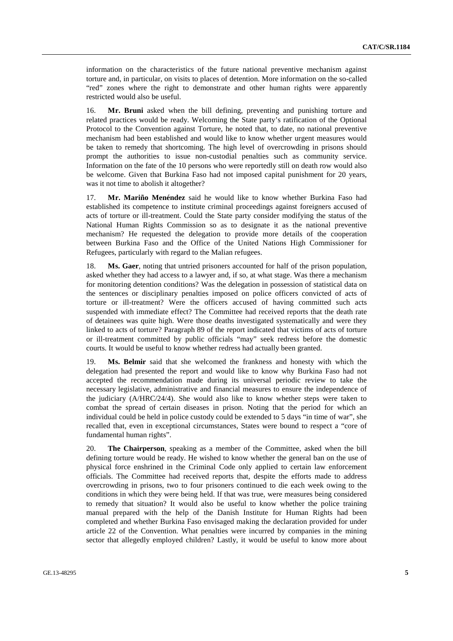information on the characteristics of the future national preventive mechanism against torture and, in particular, on visits to places of detention. More information on the so-called "red" zones where the right to demonstrate and other human rights were apparently restricted would also be useful.

16. **Mr. Bruni** asked when the bill defining, preventing and punishing torture and related practices would be ready. Welcoming the State party's ratification of the Optional Protocol to the Convention against Torture, he noted that, to date, no national preventive mechanism had been established and would like to know whether urgent measures would be taken to remedy that shortcoming. The high level of overcrowding in prisons should prompt the authorities to issue non-custodial penalties such as community service. Information on the fate of the 10 persons who were reportedly still on death row would also be welcome. Given that Burkina Faso had not imposed capital punishment for 20 years, was it not time to abolish it altogether?

17. **Mr. Mariño Menéndez** said he would like to know whether Burkina Faso had established its competence to institute criminal proceedings against foreigners accused of acts of torture or ill-treatment. Could the State party consider modifying the status of the National Human Rights Commission so as to designate it as the national preventive mechanism? He requested the delegation to provide more details of the cooperation between Burkina Faso and the Office of the United Nations High Commissioner for Refugees, particularly with regard to the Malian refugees.

18. **Ms. Gaer**, noting that untried prisoners accounted for half of the prison population, asked whether they had access to a lawyer and, if so, at what stage. Was there a mechanism for monitoring detention conditions? Was the delegation in possession of statistical data on the sentences or disciplinary penalties imposed on police officers convicted of acts of torture or ill-treatment? Were the officers accused of having committed such acts suspended with immediate effect? The Committee had received reports that the death rate of detainees was quite high. Were those deaths investigated systematically and were they linked to acts of torture? Paragraph 89 of the report indicated that victims of acts of torture or ill-treatment committed by public officials "may" seek redress before the domestic courts. It would be useful to know whether redress had actually been granted.

19. **Ms. Belmir** said that she welcomed the frankness and honesty with which the delegation had presented the report and would like to know why Burkina Faso had not accepted the recommendation made during its universal periodic review to take the necessary legislative, administrative and financial measures to ensure the independence of the judiciary (A/HRC/24/4). She would also like to know whether steps were taken to combat the spread of certain diseases in prison. Noting that the period for which an individual could be held in police custody could be extended to 5 days "in time of war", she recalled that, even in exceptional circumstances, States were bound to respect a "core of fundamental human rights".

20. **The Chairperson**, speaking as a member of the Committee, asked when the bill defining torture would be ready. He wished to know whether the general ban on the use of physical force enshrined in the Criminal Code only applied to certain law enforcement officials. The Committee had received reports that, despite the efforts made to address overcrowding in prisons, two to four prisoners continued to die each week owing to the conditions in which they were being held. If that was true, were measures being considered to remedy that situation? It would also be useful to know whether the police training manual prepared with the help of the Danish Institute for Human Rights had been completed and whether Burkina Faso envisaged making the declaration provided for under article 22 of the Convention. What penalties were incurred by companies in the mining sector that allegedly employed children? Lastly, it would be useful to know more about